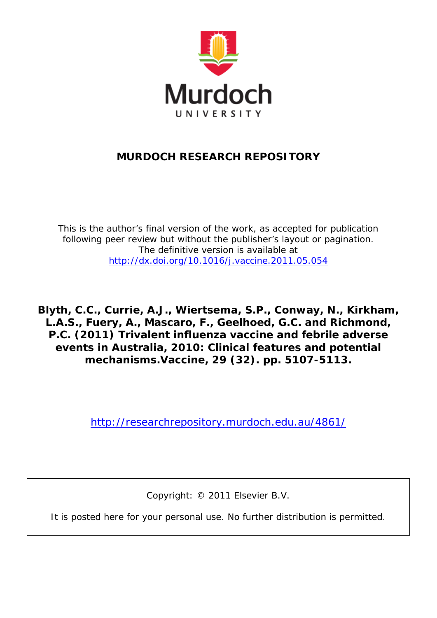

## **MURDOCH RESEARCH REPOSITORY**

*This is the author's final version of the work, as accepted for publication following peer review but without the publisher's layout or pagination. The definitive version is available at <http://dx.doi.org/10.1016/j.vaccine.2011.05.054>*

**Blyth, C.C., Currie, A.J., Wiertsema, S.P., Conway, N., Kirkham, L.A.S., Fuery, A., Mascaro, F., Geelhoed, G.C. and Richmond, P.C. (2011)** *Trivalent influenza vaccine and febrile adverse events in Australia, 2010: Clinical features and potential mechanisms.***Vaccine, 29 (32). pp. 5107-5113.**

<http://researchrepository.murdoch.edu.au/4861/>

Copyright: © 2011 Elsevier B.V.

It is posted here for your personal use. No further distribution is permitted.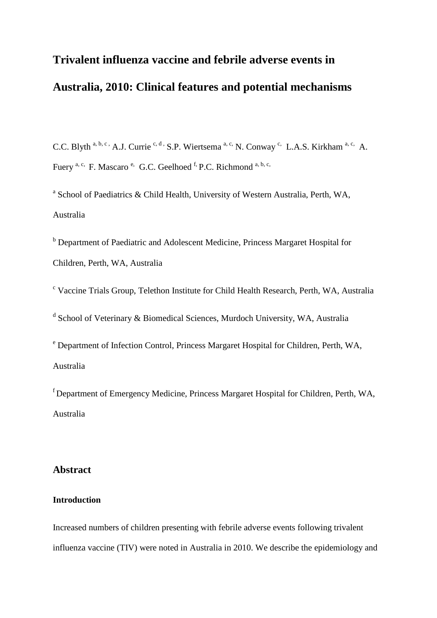# **Trivalent influenza vaccine and febrile adverse events in Australia, 2010: Clinical features and potential mechanisms**

C.C. Blyth a, b, c , A.J. Currie c, d , S.P. Wiertsema a, c, N. Conway c, L.A.S. Kirkham a, c, A. Fuery <sup>a, c,</sup> F. Mascaro <sup>e,</sup> G.C. Geelhoed <sup>f,</sup> P.C. Richmond <sup>a, b, c,</sup>

<sup>a</sup> School of Paediatrics & Child Health, University of Western Australia, Perth, WA, Australia

<sup>b</sup> Department of Paediatric and Adolescent Medicine, Princess Margaret Hospital for Children, Perth, WA, Australia

<sup>c</sup> Vaccine Trials Group, Telethon Institute for Child Health Research, Perth, WA, Australia

 $d$  School of Veterinary & Biomedical Sciences, Murdoch University, WA, Australia

<sup>e</sup> Department of Infection Control, Princess Margaret Hospital for Children, Perth, WA, Australia

f Department of Emergency Medicine, Princess Margaret Hospital for Children, Perth, WA, Australia

## **Abstract**

## **Introduction**

Increased numbers of children presenting with febrile adverse events following trivalent influenza vaccine (TIV) were noted in Australia in 2010. We describe the epidemiology and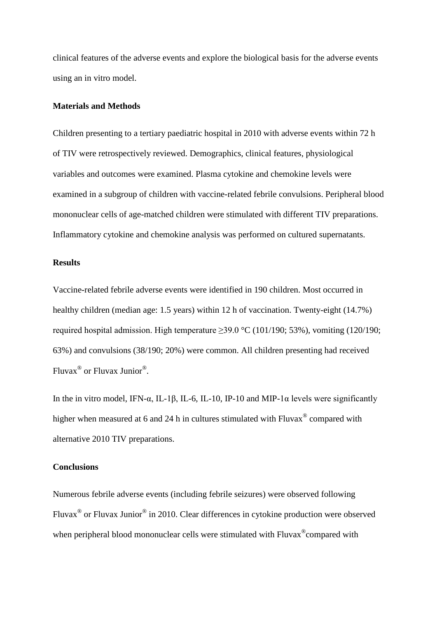clinical features of the adverse events and explore the biological basis for the adverse events using an in vitro model.

#### **Materials and Methods**

Children presenting to a tertiary paediatric hospital in 2010 with adverse events within 72 h of TIV were retrospectively reviewed. Demographics, clinical features, physiological variables and outcomes were examined. Plasma cytokine and chemokine levels were examined in a subgroup of children with vaccine-related febrile convulsions. Peripheral blood mononuclear cells of age-matched children were stimulated with different TIV preparations. Inflammatory cytokine and chemokine analysis was performed on cultured supernatants.

## **Results**

Vaccine-related febrile adverse events were identified in 190 children. Most occurred in healthy children (median age: 1.5 years) within 12 h of vaccination. Twenty-eight (14.7%) required hospital admission. High temperature  $\geq$ 39.0 °C (101/190; 53%), vomiting (120/190; 63%) and convulsions (38/190; 20%) were common. All children presenting had received Fluvax® or Fluvax Junior®.

In the in vitro model, IFN-α, IL-1β, IL-6, IL-10, IP-10 and MIP-1α levels were significantly higher when measured at 6 and 24 h in cultures stimulated with Fluvax<sup>®</sup> compared with alternative 2010 TIV preparations.

#### **Conclusions**

Numerous febrile adverse events (including febrile seizures) were observed following Fluvax® or Fluvax Junior® in 2010. Clear differences in cytokine production were observed when peripheral blood mononuclear cells were stimulated with Fluvax<sup>®</sup>compared with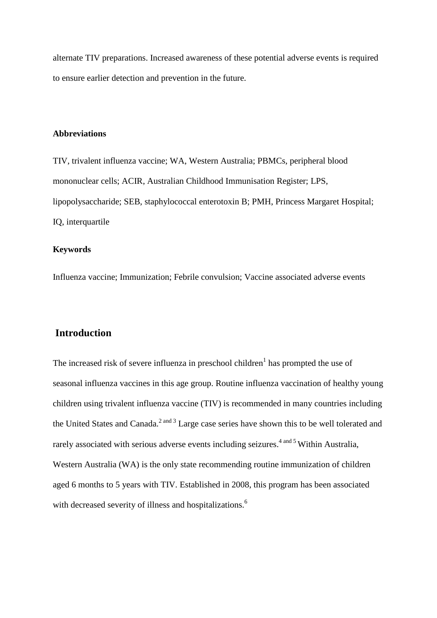alternate TIV preparations. Increased awareness of these potential adverse events is required to ensure earlier detection and prevention in the future.

## **Abbreviations**

TIV, trivalent influenza vaccine; WA, Western Australia; PBMCs, peripheral blood mononuclear cells; ACIR, Australian Childhood Immunisation Register; LPS, lipopolysaccharide; SEB, staphylococcal enterotoxin B; PMH, Princess Margaret Hospital; IO, interquartile

#### **Keywords**

Influenza vaccine; Immunization; Febrile convulsion; Vaccine associated adverse events

## **Introduction**

The increased risk of severe influenza in preschool children<sup>1</sup> has prompted the use of seasonal influenza vaccines in this age group. Routine influenza vaccination of healthy young children using trivalent influenza vaccine (TIV) is recommended in many countries including the United States and Canada.<sup>2 and 3</sup> Large case series have shown this to be well tolerated and rarely associated with serious adverse events including seizures.<sup>4 and 5</sup> Within Australia, Western Australia (WA) is the only state recommending routine immunization of children aged 6 months to 5 years with TIV. Established in 2008, this program has been associated with decreased severity of illness and hospitalizations.<sup>6</sup>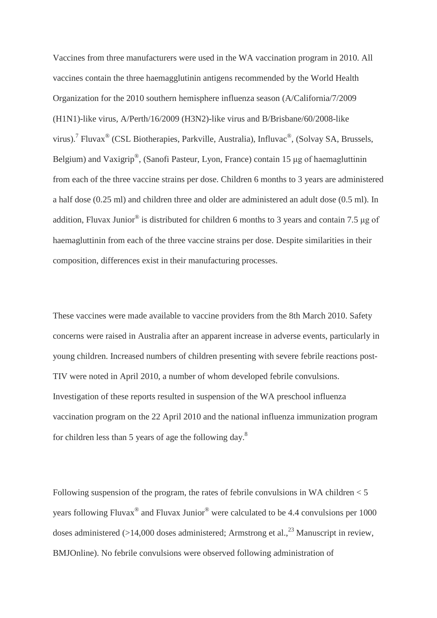Vaccines from three manufacturers were used in the WA vaccination program in 2010. All vaccines contain the three haemagglutinin antigens recommended by the World Health Organization for the 2010 southern hemisphere influenza season (A/California/7/2009 (H1N1)-like virus, A/Perth/16/2009 (H3N2)-like virus and B/Brisbane/60/2008-like virus).<sup>7</sup> Fluvax<sup>®</sup> (CSL Biotherapies, Parkville, Australia), Influvac<sup>®</sup>, (Solvay SA, Brussels, Belgium) and Vaxigrip®, (Sanofi Pasteur, Lyon, France) contain 15 μg of haemagluttinin from each of the three vaccine strains per dose. Children 6 months to 3 years are administered a half dose (0.25 ml) and children three and older are administered an adult dose (0.5 ml). In addition, Fluvax Junior® is distributed for children 6 months to 3 years and contain 7.5 μg of haemagluttinin from each of the three vaccine strains per dose. Despite similarities in their composition, differences exist in their manufacturing processes.

These vaccines were made available to vaccine providers from the 8th March 2010. Safety concerns were raised in Australia after an apparent increase in adverse events, particularly in young children. Increased numbers of children presenting with severe febrile reactions post-TIV were noted in April 2010, a number of whom developed febrile convulsions. Investigation of these reports resulted in suspension of the WA preschool influenza vaccination program on the 22 April 2010 and the national influenza immunization program for children less than 5 years of age the following day.8

Following suspension of the program, the rates of febrile convulsions in WA children  $<$  5 years following Fluvax<sup>®</sup> and Fluvax Junior<sup>®</sup> were calculated to be 4.4 convulsions per 1000 doses administered  $(>14,000$  doses administered; Armstrong et al.,<sup>23</sup> Manuscript in review, BMJOnline). No febrile convulsions were observed following administration of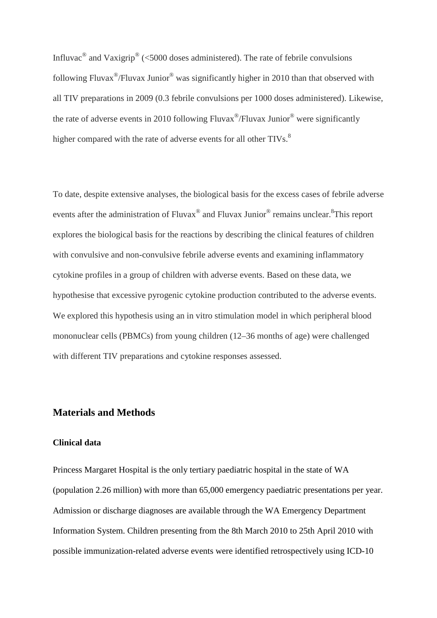Influvac<sup>®</sup> and Vaxigrip<sup>®</sup> (<5000 doses administered). The rate of febrile convulsions following Fluvax®/Fluvax Junior® was significantly higher in 2010 than that observed with all TIV preparations in 2009 (0.3 febrile convulsions per 1000 doses administered). Likewise, the rate of adverse events in 2010 following Fluvax<sup>®</sup>/Fluvax Junior<sup>®</sup> were significantly higher compared with the rate of adverse events for all other TIVs.<sup>8</sup>

To date, despite extensive analyses, the biological basis for the excess cases of febrile adverse events after the administration of Fluvax<sup>®</sup> and Fluvax Junior<sup>®</sup> remains unclear.<sup>8</sup>This report explores the biological basis for the reactions by describing the clinical features of children with convulsive and non-convulsive febrile adverse events and examining inflammatory cytokine profiles in a group of children with adverse events. Based on these data, we hypothesise that excessive pyrogenic cytokine production contributed to the adverse events. We explored this hypothesis using an in vitro stimulation model in which peripheral blood mononuclear cells (PBMCs) from young children (12–36 months of age) were challenged with different TIV preparations and cytokine responses assessed.

## **Materials and Methods**

#### **Clinical data**

Princess Margaret Hospital is the only tertiary paediatric hospital in the state of WA (population 2.26 million) with more than 65,000 emergency paediatric presentations per year. Admission or discharge diagnoses are available through the WA Emergency Department Information System. Children presenting from the 8th March 2010 to 25th April 2010 with possible immunization-related adverse events were identified retrospectively using ICD-10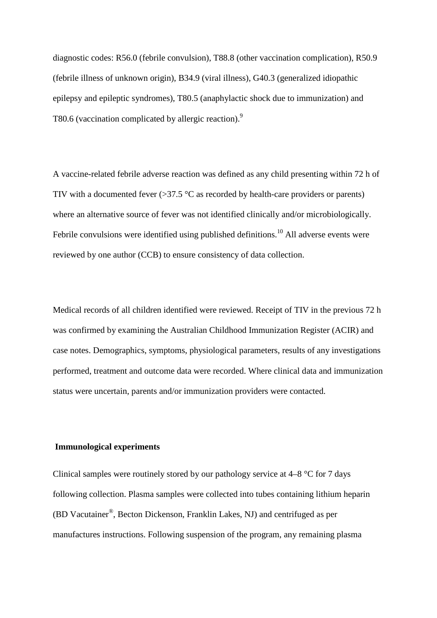diagnostic codes: R56.0 (febrile convulsion), T88.8 (other vaccination complication), R50.9 (febrile illness of unknown origin), B34.9 (viral illness), G40.3 (generalized idiopathic epilepsy and epileptic syndromes), T80.5 (anaphylactic shock due to immunization) and T80.6 (vaccination complicated by allergic reaction).<sup>9</sup>

A vaccine-related febrile adverse reaction was defined as any child presenting within 72 h of TIV with a documented fever  $(>37.5 \degree C$  as recorded by health-care providers or parents) where an alternative source of fever was not identified clinically and/or microbiologically. Febrile convulsions were identified using published definitions.<sup>10</sup> All adverse events were reviewed by one author (CCB) to ensure consistency of data collection.

Medical records of all children identified were reviewed. Receipt of TIV in the previous 72 h was confirmed by examining the Australian Childhood Immunization Register (ACIR) and case notes. Demographics, symptoms, physiological parameters, results of any investigations performed, treatment and outcome data were recorded. Where clinical data and immunization status were uncertain, parents and/or immunization providers were contacted.

## **Immunological experiments**

Clinical samples were routinely stored by our pathology service at 4–8 °C for 7 days following collection. Plasma samples were collected into tubes containing lithium heparin (BD Vacutainer®, Becton Dickenson, Franklin Lakes, NJ) and centrifuged as per manufactures instructions. Following suspension of the program, any remaining plasma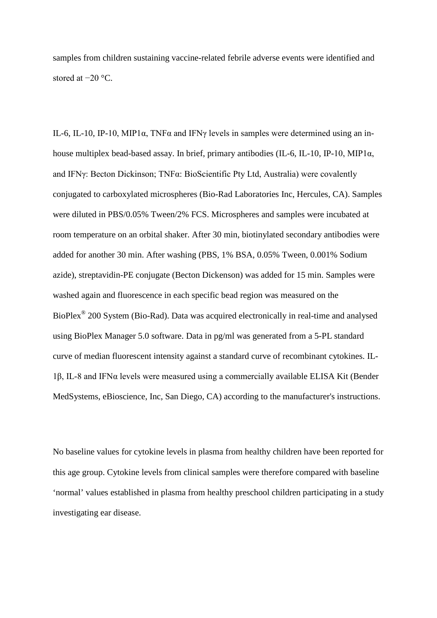samples from children sustaining vaccine-related febrile adverse events were identified and stored at −20 °C.

IL-6, IL-10, IP-10, MIP1 $\alpha$ , TNF $\alpha$  and IFN $\gamma$  levels in samples were determined using an inhouse multiplex bead-based assay. In brief, primary antibodies (IL-6, IL-10, IP-10, MIP1α, and IFNγ: Becton Dickinson; TNFα: BioScientific Pty Ltd, Australia) were covalently conjugated to carboxylated microspheres (Bio-Rad Laboratories Inc, Hercules, CA). Samples were diluted in PBS/0.05% Tween/2% FCS. Microspheres and samples were incubated at room temperature on an orbital shaker. After 30 min, biotinylated secondary antibodies were added for another 30 min. After washing (PBS, 1% BSA, 0.05% Tween, 0.001% Sodium azide), streptavidin-PE conjugate (Becton Dickenson) was added for 15 min. Samples were washed again and fluorescence in each specific bead region was measured on the BioPlex® 200 System (Bio-Rad). Data was acquired electronically in real-time and analysed using BioPlex Manager 5.0 software. Data in pg/ml was generated from a 5-PL standard curve of median fluorescent intensity against a standard curve of recombinant cytokines. IL-1β, IL-8 and IFNα levels were measured using a commercially available ELISA Kit (Bender MedSystems, eBioscience, Inc, San Diego, CA) according to the manufacturer's instructions.

No baseline values for cytokine levels in plasma from healthy children have been reported for this age group. Cytokine levels from clinical samples were therefore compared with baseline 'normal' values established in plasma from healthy preschool children participating in a study investigating ear disease.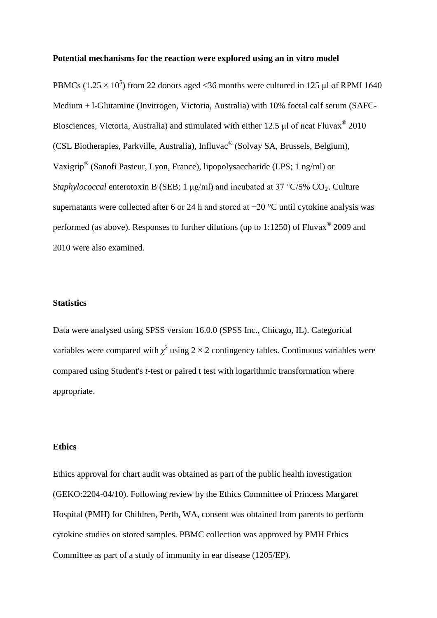#### **Potential mechanisms for the reaction were explored using an in vitro model**

PBMCs (1.25  $\times$  10<sup>5</sup>) from 22 donors aged <36 months were cultured in 125 µl of RPMI 1640 Medium + l-Glutamine (Invitrogen, Victoria, Australia) with 10% foetal calf serum (SAFC-Biosciences, Victoria, Australia) and stimulated with either 12.5 μl of neat Fluvax<sup>®</sup> 2010 (CSL Biotherapies, Parkville, Australia), Influvac® (Solvay SA, Brussels, Belgium), Vaxigrip® (Sanofi Pasteur, Lyon, France), lipopolysaccharide (LPS; 1 ng/ml) or *Staphylococcal* enterotoxin B (SEB; 1  $\mu$ g/ml) and incubated at 37 °C/5% CO<sub>2</sub>. Culture supernatants were collected after 6 or 24 h and stored at −20 °C until cytokine analysis was performed (as above). Responses to further dilutions (up to 1:1250) of Fluvax<sup>®</sup> 2009 and 2010 were also examined.

#### **Statistics**

Data were analysed using SPSS version 16.0.0 (SPSS Inc., Chicago, IL). Categorical variables were compared with  $\chi^2$  using  $2 \times 2$  contingency tables. Continuous variables were compared using Student's *t*-test or paired t test with logarithmic transformation where appropriate.

## **Ethics**

Ethics approval for chart audit was obtained as part of the public health investigation (GEKO:2204-04/10). Following review by the Ethics Committee of Princess Margaret Hospital (PMH) for Children, Perth, WA, consent was obtained from parents to perform cytokine studies on stored samples. PBMC collection was approved by PMH Ethics Committee as part of a study of immunity in ear disease (1205/EP).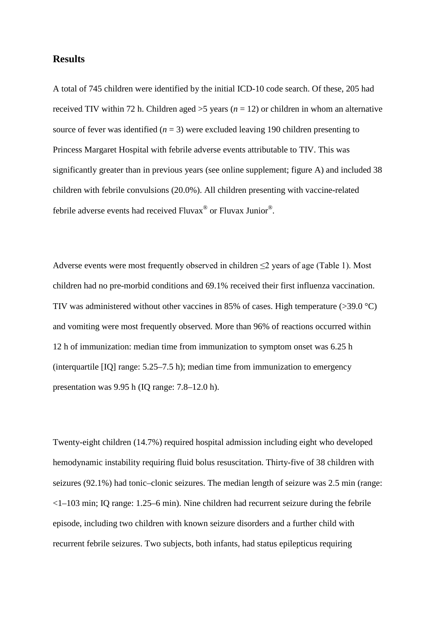## **Results**

A total of 745 children were identified by the initial ICD-10 code search. Of these, 205 had received TIV within 72 h. Children aged  $>5$  years ( $n = 12$ ) or children in whom an alternative source of fever was identified  $(n = 3)$  were excluded leaving 190 children presenting to Princess Margaret Hospital with febrile adverse events attributable to TIV. This was significantly greater than in previous years (see online supplement; figure A) and included 38 children with febrile convulsions (20.0%). All children presenting with vaccine-related febrile adverse events had received Fluvax<sup>®</sup> or Fluvax Junior<sup>®</sup>.

Adverse events were most frequently observed in children  $\leq$  years of age (Table 1). Most children had no pre-morbid conditions and 69.1% received their first influenza vaccination. TIV was administered without other vaccines in 85% of cases. High temperature  $(>39.0 \degree C)$ and vomiting were most frequently observed. More than 96% of reactions occurred within 12 h of immunization: median time from immunization to symptom onset was 6.25 h (interquartile [IQ] range: 5.25–7.5 h); median time from immunization to emergency presentation was 9.95 h (IQ range: 7.8–12.0 h).

Twenty-eight children (14.7%) required hospital admission including eight who developed hemodynamic instability requiring fluid bolus resuscitation. Thirty-five of 38 children with seizures (92.1%) had tonic–clonic seizures. The median length of seizure was 2.5 min (range: <1–103 min; IQ range: 1.25–6 min). Nine children had recurrent seizure during the febrile episode, including two children with known seizure disorders and a further child with recurrent febrile seizures. Two subjects, both infants, had status epilepticus requiring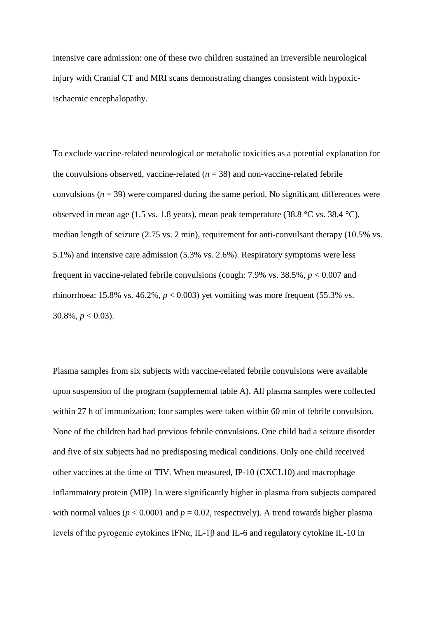intensive care admission: one of these two children sustained an irreversible neurological injury with Cranial CT and MRI scans demonstrating changes consistent with hypoxicischaemic encephalopathy.

To exclude vaccine-related neurological or metabolic toxicities as a potential explanation for the convulsions observed, vaccine-related  $(n = 38)$  and non-vaccine-related febrile convulsions  $(n = 39)$  were compared during the same period. No significant differences were observed in mean age (1.5 vs. 1.8 years), mean peak temperature (38.8 °C vs. 38.4 °C), median length of seizure (2.75 vs. 2 min), requirement for anti-convulsant therapy (10.5% vs. 5.1%) and intensive care admission (5.3% vs. 2.6%). Respiratory symptoms were less frequent in vaccine-related febrile convulsions (cough: 7.9% vs. 38.5%, *p* < 0.007 and rhinorrhoea:  $15.8\%$  vs.  $46.2\%$ ,  $p < 0.003$ ) yet vomiting was more frequent (55.3% vs. 30.8%,  $p < 0.03$ ).

Plasma samples from six subjects with vaccine-related febrile convulsions were available upon suspension of the program (supplemental table A). All plasma samples were collected within 27 h of immunization; four samples were taken within 60 min of febrile convulsion. None of the children had had previous febrile convulsions. One child had a seizure disorder and five of six subjects had no predisposing medical conditions. Only one child received other vaccines at the time of TIV. When measured, IP-10 (CXCL10) and macrophage inflammatory protein (MIP)  $1\alpha$  were significantly higher in plasma from subjects compared with normal values ( $p < 0.0001$  and  $p = 0.02$ , respectively). A trend towards higher plasma levels of the pyrogenic cytokines IFNα, IL-1β and IL-6 and regulatory cytokine IL-10 in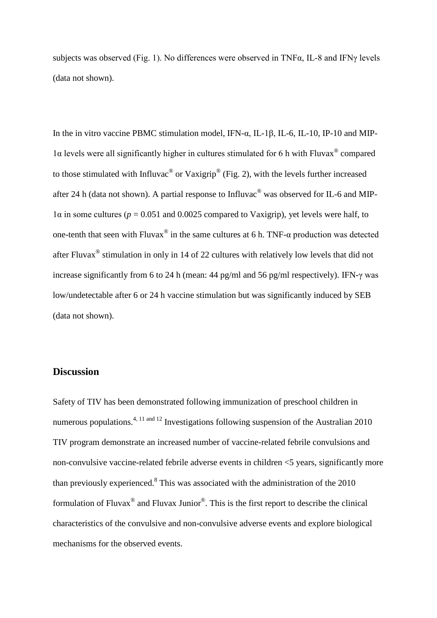subjects was observed (Fig. 1). No differences were observed in TNFα, IL-8 and IFNγ levels (data not shown).

In the in vitro vaccine PBMC stimulation model, IFN-α, IL-1β, IL-6, IL-10, IP-10 and MIP-1α levels were all significantly higher in cultures stimulated for 6 h with Fluvax® compared to those stimulated with Influvac<sup>®</sup> or Vaxigrip<sup>®</sup> (Fig. 2), with the levels further increased after 24 h (data not shown). A partial response to Influvac® was observed for IL-6 and MIP- $1α$  in some cultures ( $p = 0.051$  and 0.0025 compared to Vaxigrip), yet levels were half, to one-tenth that seen with Fluvax<sup>®</sup> in the same cultures at 6 h. TNF- $\alpha$  production was detected after Fluvax® stimulation in only in 14 of 22 cultures with relatively low levels that did not increase significantly from 6 to 24 h (mean: 44 pg/ml and 56 pg/ml respectively). IFN-γ was low/undetectable after 6 or 24 h vaccine stimulation but was significantly induced by SEB (data not shown).

## **Discussion**

Safety of TIV has been demonstrated following immunization of preschool children in numerous populations.<sup>4, 11 and 12</sup> Investigations following suspension of the Australian 2010 TIV program demonstrate an increased number of vaccine-related febrile convulsions and non-convulsive vaccine-related febrile adverse events in children <5 years, significantly more than previously experienced.8 This was associated with the administration of the 2010 formulation of Fluvax<sup>®</sup> and Fluvax Junior<sup>®</sup>. This is the first report to describe the clinical characteristics of the convulsive and non-convulsive adverse events and explore biological mechanisms for the observed events.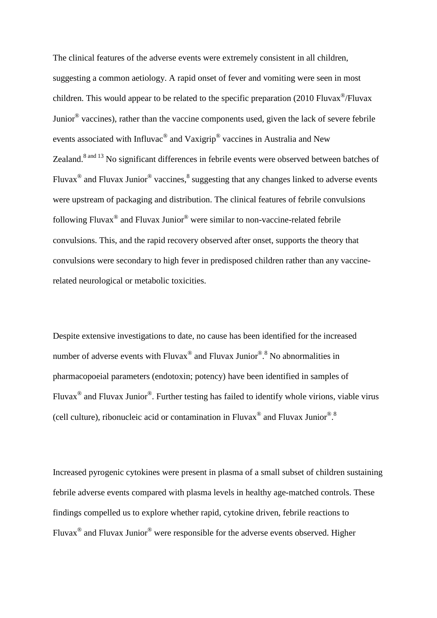The clinical features of the adverse events were extremely consistent in all children, suggesting a common aetiology. A rapid onset of fever and vomiting were seen in most children. This would appear to be related to the specific preparation (2010 Fluvax<sup>®</sup>/Fluvax Junior® vaccines), rather than the vaccine components used, given the lack of severe febrile events associated with Influvac® and Vaxigrip® vaccines in Australia and New Zealand.<sup>8 and 13</sup> No significant differences in febrile events were observed between batches of Fluvax<sup>®</sup> and Fluvax Junior<sup>®</sup> vaccines,<sup>8</sup> suggesting that any changes linked to adverse events were upstream of packaging and distribution. The clinical features of febrile convulsions following Fluvax<sup>®</sup> and Fluvax Junior<sup>®</sup> were similar to non-vaccine-related febrile convulsions. This, and the rapid recovery observed after onset, supports the theory that convulsions were secondary to high fever in predisposed children rather than any vaccinerelated neurological or metabolic toxicities.

Despite extensive investigations to date, no cause has been identified for the increased number of adverse events with Fluvax<sup>®</sup> and Fluvax Junior<sup>® 8</sup>. No abnormalities in pharmacopoeial parameters (endotoxin; potency) have been identified in samples of Fluvax<sup>®</sup> and Fluvax Junior<sup>®</sup>. Further testing has failed to identify whole virions, viable virus (cell culture), ribonucleic acid or contamination in Fluvax<sup>®</sup> and Fluvax Junior<sup>® 8</sup>

Increased pyrogenic cytokines were present in plasma of a small subset of children sustaining febrile adverse events compared with plasma levels in healthy age-matched controls. These findings compelled us to explore whether rapid, cytokine driven, febrile reactions to Fluvax® and Fluvax Junior® were responsible for the adverse events observed. Higher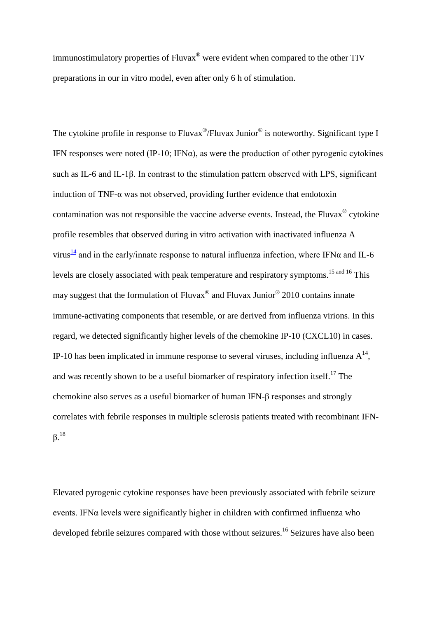immunostimulatory properties of Fluvax® were evident when compared to the other TIV preparations in our in vitro model, even after only 6 h of stimulation.

The cytokine profile in response to Fluvax<sup>®</sup>/Fluvax Junior<sup>®</sup> is noteworthy. Significant type I IFN responses were noted (IP-10; IFN $\alpha$ ), as were the production of other pyrogenic cytokines such as IL-6 and IL-1β. In contrast to the stimulation pattern observed with LPS, significant induction of TNF- $\alpha$  was not observed, providing further evidence that endotoxin contamination was not responsible the vaccine adverse events. Instead, the Fluvax® cytokine profile resembles that observed during in vitro activation with inactivated influenza A virus<sup>[14](http://www.sciencedirect.com/science/article/pii/S0264410X11007742#bib0070)</sup> and in the early/innate response to natural influenza infection, where IFN $\alpha$  and IL-6 levels are closely associated with peak temperature and respiratory symptoms.<sup>15 and 16</sup> This may suggest that the formulation of Fluvax<sup>®</sup> and Fluvax Junior<sup>®</sup> 2010 contains innate immune-activating components that resemble, or are derived from influenza virions. In this regard, we detected significantly higher levels of the chemokine IP-10 (CXCL10) in cases. IP-10 has been implicated in immune response to several viruses, including influenza  $A^{14}$ , and was recently shown to be a useful biomarker of respiratory infection itself.<sup>17</sup> The chemokine also serves as a useful biomarker of human IFN-β responses and strongly correlates with febrile responses in multiple sclerosis patients treated with recombinant IFNβ.<sup>18</sup>

Elevated pyrogenic cytokine responses have been previously associated with febrile seizure events. IFN $\alpha$  levels were significantly higher in children with confirmed influenza who developed febrile seizures compared with those without seizures.<sup>16</sup> Seizures have also been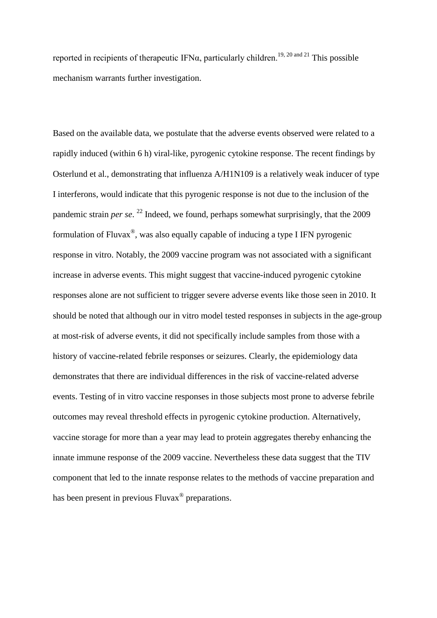reported in recipients of therapeutic IFN $\alpha$ , particularly children.<sup>19, 20 and 21</sup> This possible mechanism warrants further investigation.

Based on the available data, we postulate that the adverse events observed were related to a rapidly induced (within 6 h) viral-like, pyrogenic cytokine response. The recent findings by Osterlund et al., demonstrating that influenza A/H1N109 is a relatively weak inducer of type I interferons, would indicate that this pyrogenic response is not due to the inclusion of the pandemic strain *per se*. <sup>22</sup> Indeed, we found, perhaps somewhat surprisingly, that the 2009 formulation of Fluvax®, was also equally capable of inducing a type I IFN pyrogenic response in vitro. Notably, the 2009 vaccine program was not associated with a significant increase in adverse events. This might suggest that vaccine-induced pyrogenic cytokine responses alone are not sufficient to trigger severe adverse events like those seen in 2010. It should be noted that although our in vitro model tested responses in subjects in the age-group at most-risk of adverse events, it did not specifically include samples from those with a history of vaccine-related febrile responses or seizures. Clearly, the epidemiology data demonstrates that there are individual differences in the risk of vaccine-related adverse events. Testing of in vitro vaccine responses in those subjects most prone to adverse febrile outcomes may reveal threshold effects in pyrogenic cytokine production. Alternatively, vaccine storage for more than a year may lead to protein aggregates thereby enhancing the innate immune response of the 2009 vaccine. Nevertheless these data suggest that the TIV component that led to the innate response relates to the methods of vaccine preparation and has been present in previous Fluvax® preparations.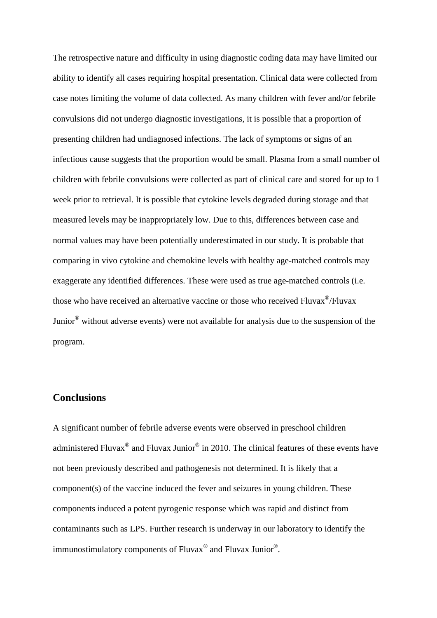The retrospective nature and difficulty in using diagnostic coding data may have limited our ability to identify all cases requiring hospital presentation. Clinical data were collected from case notes limiting the volume of data collected. As many children with fever and/or febrile convulsions did not undergo diagnostic investigations, it is possible that a proportion of presenting children had undiagnosed infections. The lack of symptoms or signs of an infectious cause suggests that the proportion would be small. Plasma from a small number of children with febrile convulsions were collected as part of clinical care and stored for up to 1 week prior to retrieval. It is possible that cytokine levels degraded during storage and that measured levels may be inappropriately low. Due to this, differences between case and normal values may have been potentially underestimated in our study. It is probable that comparing in vivo cytokine and chemokine levels with healthy age-matched controls may exaggerate any identified differences. These were used as true age-matched controls (i.e. those who have received an alternative vaccine or those who received Fluvax<sup>®</sup>/Fluvax Junior® without adverse events) were not available for analysis due to the suspension of the program.

## **Conclusions**

A significant number of febrile adverse events were observed in preschool children administered Fluvax<sup>®</sup> and Fluvax Junior<sup>®</sup> in 2010. The clinical features of these events have not been previously described and pathogenesis not determined. It is likely that a component(s) of the vaccine induced the fever and seizures in young children. These components induced a potent pyrogenic response which was rapid and distinct from contaminants such as LPS. Further research is underway in our laboratory to identify the immunostimulatory components of Fluvax® and Fluvax Junior®.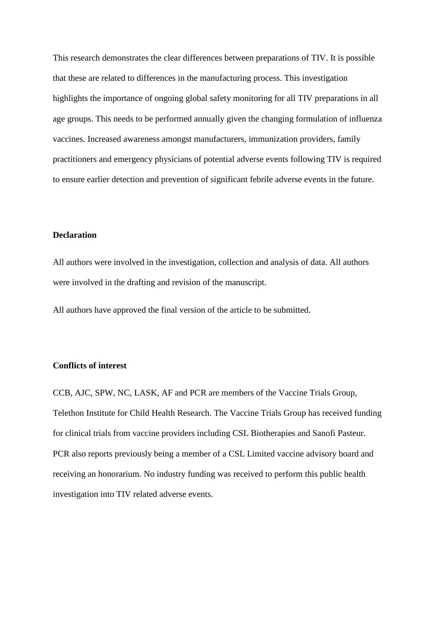This research demonstrates the clear differences between preparations of TIV. It is possible that these are related to differences in the manufacturing process. This investigation highlights the importance of ongoing global safety monitoring for all TIV preparations in all age groups. This needs to be performed annually given the changing formulation of influenza vaccines. Increased awareness amongst manufacturers, immunization providers, family practitioners and emergency physicians of potential adverse events following TIV is required to ensure earlier detection and prevention of significant febrile adverse events in the future.

## **Declaration**

All authors were involved in the investigation, collection and analysis of data. All authors were involved in the drafting and revision of the manuscript.

All authors have approved the final version of the article to be submitted.

#### **Conflicts of interest**

CCB, AJC, SPW, NC, LASK, AF and PCR are members of the Vaccine Trials Group, Telethon Institute for Child Health Research. The Vaccine Trials Group has received funding for clinical trials from vaccine providers including CSL Biotherapies and Sanofi Pasteur. PCR also reports previously being a member of a CSL Limited vaccine advisory board and receiving an honorarium. No industry funding was received to perform this public health investigation into TIV related adverse events.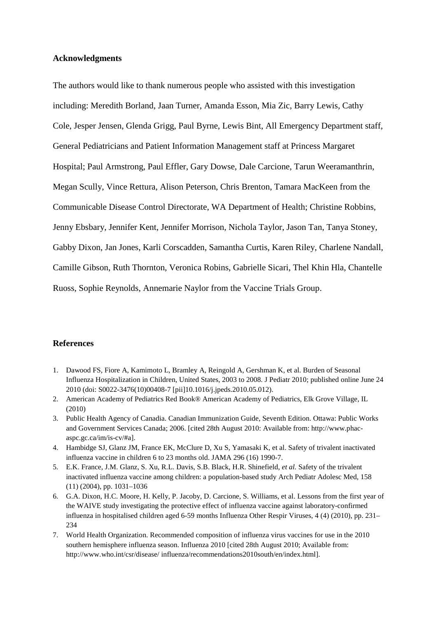#### **Acknowledgments**

The authors would like to thank numerous people who assisted with this investigation including: Meredith Borland, Jaan Turner, Amanda Esson, Mia Zic, Barry Lewis, Cathy Cole, Jesper Jensen, Glenda Grigg, Paul Byrne, Lewis Bint, All Emergency Department staff, General Pediatricians and Patient Information Management staff at Princess Margaret Hospital; Paul Armstrong, Paul Effler, Gary Dowse, Dale Carcione, Tarun Weeramanthrin, Megan Scully, Vince Rettura, Alison Peterson, Chris Brenton, Tamara MacKeen from the Communicable Disease Control Directorate, WA Department of Health; Christine Robbins, Jenny Ebsbary, Jennifer Kent, Jennifer Morrison, Nichola Taylor, Jason Tan, Tanya Stoney, Gabby Dixon, Jan Jones, Karli Corscadden, Samantha Curtis, Karen Riley, Charlene Nandall, Camille Gibson, Ruth Thornton, Veronica Robins, Gabrielle Sicari, Thel Khin Hla, Chantelle Ruoss, Sophie Reynolds, Annemarie Naylor from the Vaccine Trials Group.

#### **References**

- 1. Dawood FS, Fiore A, Kamimoto L, Bramley A, Reingold A, Gershman K, et al. Burden of Seasonal Influenza Hospitalization in Children, United States, 2003 to 2008. J Pediatr 2010; published online June 24 2010 (doi: S0022-3476(10)00408-7 [pii]10.1016/j.jpeds.2010.05.012).
- 2. American Academy of Pediatrics Red Book® American Academy of Pediatrics, Elk Grove Village, IL (2010)
- 3. Public Health Agency of Canadia. Canadian Immunization Guide, Seventh Edition. Ottawa: Public Works and Government Services Canada; 2006. [cited 28th August 2010: Available from: http://www.phacaspc.gc.ca/im/is-cv/#a].
- 4. Hambidge SJ, Glanz JM, France EK, McClure D, Xu S, Yamasaki K, et al. Safety of trivalent inactivated influenza vaccine in children 6 to 23 months old. JAMA 296 (16) 1990-7.
- 5. E.K. France, J.M. Glanz, S. Xu, R.L. Davis, S.B. Black, H.R. Shinefield, *et al.* Safety of the trivalent inactivated influenza vaccine among children: a population-based study Arch Pediatr Adolesc Med, 158 (11) (2004), pp. 1031–1036
- 6. G.A. Dixon, H.C. Moore, H. Kelly, P. Jacoby, D. Carcione, S. Williams, et al. Lessons from the first year of the WAIVE study investigating the protective effect of influenza vaccine against laboratory-confirmed influenza in hospitalised children aged 6-59 months Influenza Other Respir Viruses, 4 (4) (2010), pp. 231– 234
- 7. World Health Organization. Recommended composition of influenza virus vaccines for use in the 2010 southern hemisphere influenza season. Influenza 2010 [cited 28th August 2010; Available from: http://www.who.int/csr/disease/ influenza/recommendations2010south/en/index.html].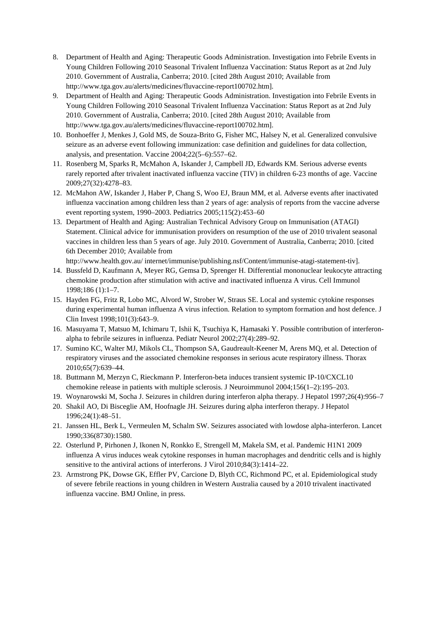- 8. Department of Health and Aging: Therapeutic Goods Administration. Investigation into Febrile Events in Young Children Following 2010 Seasonal Trivalent Influenza Vaccination: Status Report as at 2nd July 2010. Government of Australia, Canberra; 2010. [cited 28th August 2010; Available from http://www.tga.gov.au/alerts/medicines/fluvaccine-report100702.htm].
- 9. Department of Health and Aging: Therapeutic Goods Administration. Investigation into Febrile Events in Young Children Following 2010 Seasonal Trivalent Influenza Vaccination: Status Report as at 2nd July 2010. Government of Australia, Canberra; 2010. [cited 28th August 2010; Available from http://www.tga.gov.au/alerts/medicines/fluvaccine-report100702.htm].
- 10. Bonhoeffer J, Menkes J, Gold MS, de Souza-Brito G, Fisher MC, Halsey N, et al. Generalized convulsive seizure as an adverse event following immunization: case definition and guidelines for data collection, analysis, and presentation. Vaccine 2004;22(5–6):557–62.
- 11. Rosenberg M, Sparks R, McMahon A, Iskander J, Campbell JD, Edwards KM. Serious adverse events rarely reported after trivalent inactivated influenza vaccine (TIV) in children 6-23 months of age. Vaccine 2009;27(32):4278–83.
- 12. McMahon AW, Iskander J, Haber P, Chang S, Woo EJ, Braun MM, et al. Adverse events after inactivated influenza vaccination among children less than 2 years of age: analysis of reports from the vaccine adverse event reporting system, 1990–2003. Pediatrics 2005;115(2):453–60
- 13. Department of Health and Aging: Australian Technical Advisory Group on Immunisation (ATAGI) Statement. Clinical advice for immunisation providers on resumption of the use of 2010 trivalent seasonal vaccines in children less than 5 years of age. July 2010. Government of Australia, Canberra; 2010. [cited 6th December 2010; Available from
- http://www.health.gov.au/ internet/immunise/publishing.nsf/Content/immunise-atagi-statement-tiv]. 14. Bussfeld D, Kaufmann A, Meyer RG, Gemsa D, Sprenger H. Differential mononuclear leukocyte attracting chemokine production after stimulation with active and inactivated influenza A virus. Cell Immunol 1998;186 (1):1–7.
- 15. Hayden FG, Fritz R, Lobo MC, Alvord W, Strober W, Straus SE. Local and systemic cytokine responses during experimental human influenza A virus infection. Relation to symptom formation and host defence. J Clin Invest 1998;101(3):643–9.
- 16. Masuyama T, Matsuo M, Ichimaru T, Ishii K, Tsuchiya K, Hamasaki Y. Possible contribution of interferonalpha to febrile seizures in influenza. Pediatr Neurol 2002;27(4):289–92.
- 17. Sumino KC, Walter MJ, Mikols CL, Thompson SA, Gaudreault-Keener M, Arens MQ, et al. Detection of respiratory viruses and the associated chemokine responses in serious acute respiratory illness. Thorax 2010;65(7):639–44.
- 18. Buttmann M, Merzyn C, Rieckmann P. Interferon-beta induces transient systemic IP-10/CXCL10 chemokine release in patients with multiple sclerosis. J Neuroimmunol 2004;156(1–2):195–203.
- 19. Woynarowski M, Socha J. Seizures in children during interferon alpha therapy. J Hepatol 1997;26(4):956–7
- 20. Shakil AO, Di Bisceglie AM, Hoofnagle JH. Seizures during alpha interferon therapy. J Hepatol 1996;24(1):48–51.
- 21. Janssen HL, Berk L, Vermeulen M, Schalm SW. Seizures associated with lowdose alpha-interferon. Lancet 1990;336(8730):1580.
- 22. Osterlund P, Pirhonen J, Ikonen N, Ronkko E, Strengell M, Makela SM, et al. Pandemic H1N1 2009 influenza A virus induces weak cytokine responses in human macrophages and dendritic cells and is highly sensitive to the antiviral actions of interferons. J Virol 2010;84(3):1414–22.
- 23. Armstrong PK, Dowse GK, Effler PV, Carcione D, Blyth CC, Richmond PC, et al. Epidemiological study of severe febrile reactions in young children in Western Australia caused by a 2010 trivalent inactivated influenza vaccine. BMJ Online, in press.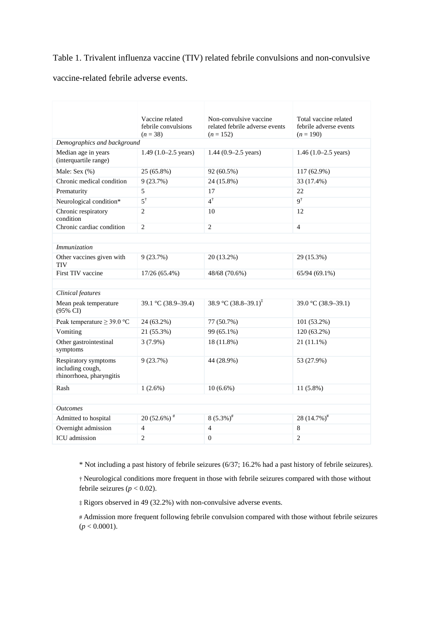# Table 1. Trivalent influenza vaccine (TIV) related febrile convulsions and non-convulsive

vaccine-related febrile adverse events.

|                                                                      | Vaccine related<br>febrile convulsions<br>$(n = 38)$ | Non-convulsive vaccine<br>related febrile adverse events<br>$(n = 152)$ | Total vaccine related<br>febrile adverse events<br>$(n = 190)$ |
|----------------------------------------------------------------------|------------------------------------------------------|-------------------------------------------------------------------------|----------------------------------------------------------------|
| Demographics and background                                          |                                                      |                                                                         |                                                                |
| Median age in years<br>(interquartile range)                         | 1.49 $(1.0-2.5 \text{ years})$                       | $1.44$ (0.9–2.5 years)                                                  | 1.46 $(1.0-2.5 \text{ years})$                                 |
| Male: Sex (%)                                                        | 25 (65.8%)                                           | 92 (60.5%)                                                              | 117 (62.9%)                                                    |
| Chronic medical condition                                            | 9(23.7%)                                             | 24 (15.8%)                                                              | 33 (17.4%)                                                     |
| Prematurity                                                          | 5                                                    | 17                                                                      | 22                                                             |
| Neurological condition*                                              | $5^{\dagger}$                                        | $4^{\dagger}$                                                           | $9^{\dagger}$                                                  |
| Chronic respiratory<br>condition                                     | $\overline{c}$                                       | 10                                                                      | 12                                                             |
| Chronic cardiac condition                                            | 2                                                    | $\overline{c}$                                                          | $\overline{4}$                                                 |
|                                                                      |                                                      |                                                                         |                                                                |
| <i>Immunization</i>                                                  |                                                      |                                                                         |                                                                |
| Other vaccines given with<br>TIV                                     | 9(23.7%)                                             | 20 (13.2%)                                                              | 29 (15.3%)                                                     |
| First TIV vaccine                                                    | 17/26 (65.4%)                                        | 48/68 (70.6%)                                                           | $65/94(69.1\%)$                                                |
|                                                                      |                                                      |                                                                         |                                                                |
| Clinical features                                                    |                                                      |                                                                         |                                                                |
| Mean peak temperature<br>(95% CI)                                    | 39.1 °C (38.9–39.4)                                  | 38.9 °C $(38.8-39.1)^{\ddagger}$                                        | 39.0 °C (38.9-39.1)                                            |
| Peak temperature $\geq$ 39.0 °C                                      | 24 (63.2%)                                           | 77 (50.7%)                                                              | 101 (53.2%)                                                    |
| Vomiting                                                             | 21 (55.3%)                                           | 99 (65.1%)                                                              | 120 (63.2%)                                                    |
| Other gastrointestinal<br>symptoms                                   | $3(7.9\%)$                                           | 18 (11.8%)                                                              | $21(11.1\%)$                                                   |
| Respiratory symptoms<br>including cough,<br>rhinorrhoea, pharyngitis | 9(23.7%)                                             | 44 (28.9%)                                                              | 53 (27.9%)                                                     |
| Rash                                                                 | $1(2.6\%)$                                           | $10(6.6\%)$                                                             | $11(5.8\%)$                                                    |
|                                                                      |                                                      |                                                                         |                                                                |
| <b>Outcomes</b>                                                      |                                                      |                                                                         |                                                                |
| Admitted to hospital                                                 | $20(52.6\%)$ <sup>#</sup>                            | $8(5.3\%)^{\#}$                                                         | 28 (14.7%) <sup>#</sup>                                        |
| Overnight admission                                                  | 4                                                    | $\overline{4}$                                                          | 8                                                              |
| ICU admission                                                        | $\overline{c}$                                       | $\mathbf{0}$                                                            | $\overline{2}$                                                 |

\* Not including a past history of febrile seizures (6/37; 16.2% had a past history of febrile seizures).

† Neurological conditions more frequent in those with febrile seizures compared with those without febrile seizures ( $p < 0.02$ ).

‡ Rigors observed in 49 (32.2%) with non-convulsive adverse events.

# Admission more frequent following febrile convulsion compared with those without febrile seizures  $(p < 0.0001)$ .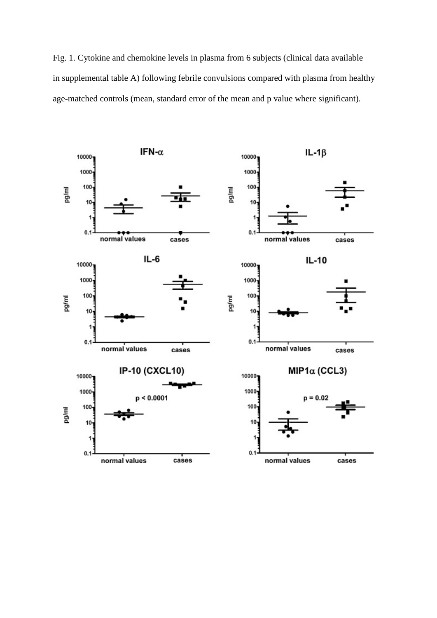Fig. 1. Cytokine and chemokine levels in plasma from 6 subjects (clinical data available in supplemental table A) following febrile convulsions compared with plasma from healthy age-matched controls (mean, standard error of the mean and p value where significant).

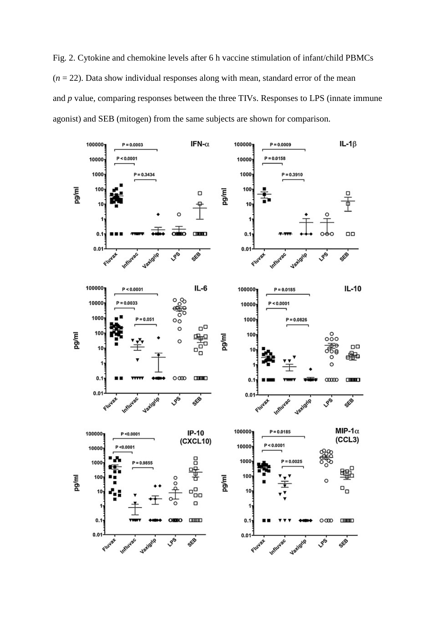Fig. 2. Cytokine and chemokine levels after 6 h vaccine stimulation of infant/child PBMCs  $(n = 22)$ . Data show individual responses along with mean, standard error of the mean and *p* value, comparing responses between the three TIVs. Responses to LPS (innate immune agonist) and SEB (mitogen) from the same subjects are shown for comparison.